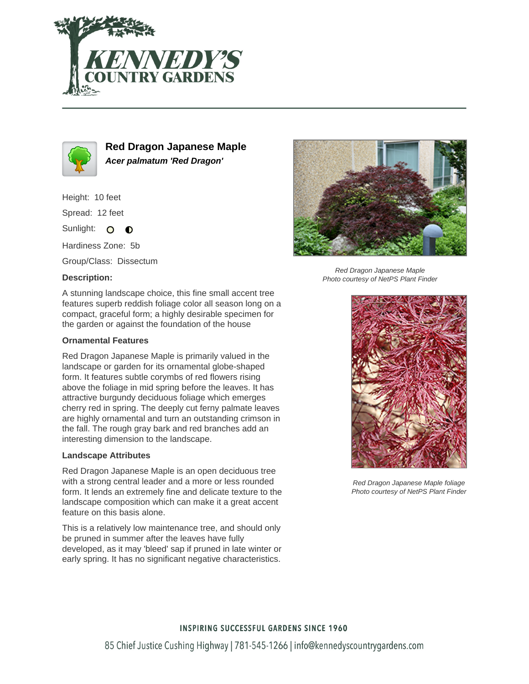



**Red Dragon Japanese Maple Acer palmatum 'Red Dragon'**

Height: 10 feet

Spread: 12 feet

Sunlight: O  $\bullet$ 

Hardiness Zone: 5b

Group/Class: Dissectum

# **Description:**



Red Dragon Japanese Maple Photo courtesy of NetPS Plant Finder

A stunning landscape choice, this fine small accent tree features superb reddish foliage color all season long on a compact, graceful form; a highly desirable specimen for the garden or against the foundation of the house

## **Ornamental Features**

Red Dragon Japanese Maple is primarily valued in the landscape or garden for its ornamental globe-shaped form. It features subtle corymbs of red flowers rising above the foliage in mid spring before the leaves. It has attractive burgundy deciduous foliage which emerges cherry red in spring. The deeply cut ferny palmate leaves are highly ornamental and turn an outstanding crimson in the fall. The rough gray bark and red branches add an interesting dimension to the landscape.

### **Landscape Attributes**

Red Dragon Japanese Maple is an open deciduous tree with a strong central leader and a more or less rounded form. It lends an extremely fine and delicate texture to the landscape composition which can make it a great accent feature on this basis alone.

This is a relatively low maintenance tree, and should only be pruned in summer after the leaves have fully developed, as it may 'bleed' sap if pruned in late winter or early spring. It has no significant negative characteristics.



Red Dragon Japanese Maple foliage Photo courtesy of NetPS Plant Finder

# **INSPIRING SUCCESSFUL GARDENS SINCE 1960**